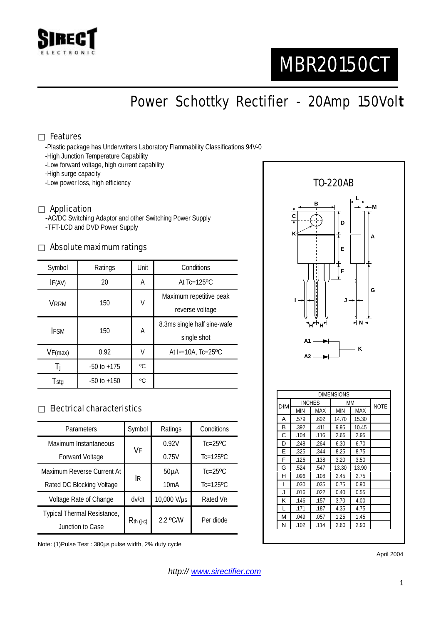

# MBR20150CT

Power Schottky Rectifier - 20Amp 150Vol**t**

#### Features

-Plastic package has Underwriters Laboratory Flammability Classifications 94V-0

- -High Junction Temperature Capability
- -Low forward voltage, high current capability

-High surge capacity

-Low power loss, high efficiency

#### Application

-AC/DC Switching Adaptor and other Switching Power Supply -TFT-LCD and DVD Power Supply

#### Absolute maximum ratings

| Symbol      | Ratings         | Unit | Conditions                                 |  |
|-------------|-----------------|------|--------------------------------------------|--|
| IF(AV)      | 20              | Α    | At $Tc=125$ <sup>o</sup> $C$               |  |
| VRRM        | 150             | V    | Maximum repetitive peak<br>reverse voltage |  |
| <b>IFSM</b> | 150             | A    | 8.3ms single half sine-wafe<br>single shot |  |
| VF(max)     | 0.92            | V    | At $F=10A$ , Tc=25°C                       |  |
| -l i        | $-50$ to $+175$ | °C   |                                            |  |
| Tstg        | $-50$ to $+150$ | °C   |                                            |  |

#### Electrical characteristics

| Parameters                  | Symbol       | Ratings           | Conditions                 |
|-----------------------------|--------------|-------------------|----------------------------|
| Maximum Instantaneous       | VF           | 0.92V             | $Tc=25$ <sup>o</sup> $C$   |
| <b>Forward Voltage</b>      |              | 0.75V             | $Tc=125$ <sup>o</sup> $C$  |
| Maximum Reverse Current At  | İR           | 50 <sub>µ</sub> A | $Tc = 25$ <sup>o</sup> $C$ |
| Rated DC Blocking Voltage   |              | 10mA              | $Tc=125$ <sup>o</sup> $C$  |
| Voltage Rate of Change      | dv/dt        | 10,000 V/µs       | Rated VR                   |
| Typical Thermal Resistance, | $R$ th (j-c) | $2.2$ °C/W        | Per diode                  |
| Junction to Case            |              |                   |                            |

Note: (1)Pulse Test : 380µs pulse width, 2% duty cycle



April 2004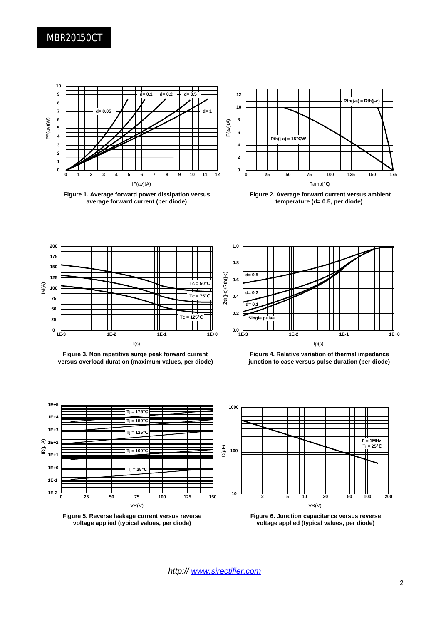### MBR20150CT



**Figure 1. Average forward power dissipation versus average forward current (per diode)**



**Figure 2. Average forward current versus ambient temperature (d= 0.5, per diode)**



**Figure 3. Non repetitive surge peak forward current versus overload duration (maximum values, per diode)**



**Figure 4. Relative variation of thermal impedance junction to case versus pulse duration (per diode)**







**Figure 6. Junction capacitance versus reverse voltage applied (typical values, per diode)**